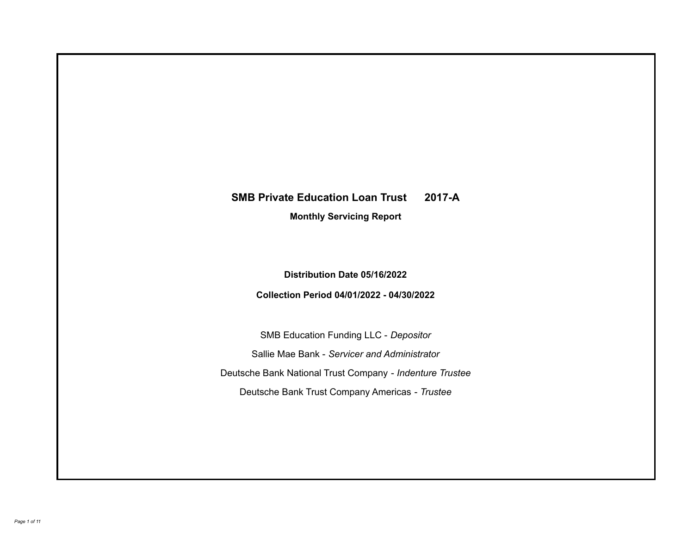# **SMB Private Education Loan Trust 2017-A**

**Monthly Servicing Report**

**Distribution Date 05/16/2022**

**Collection Period 04/01/2022 - 04/30/2022**

SMB Education Funding LLC - *Depositor* Sallie Mae Bank - *Servicer and Administrator* Deutsche Bank National Trust Company - *Indenture Trustee* Deutsche Bank Trust Company Americas - *Trustee*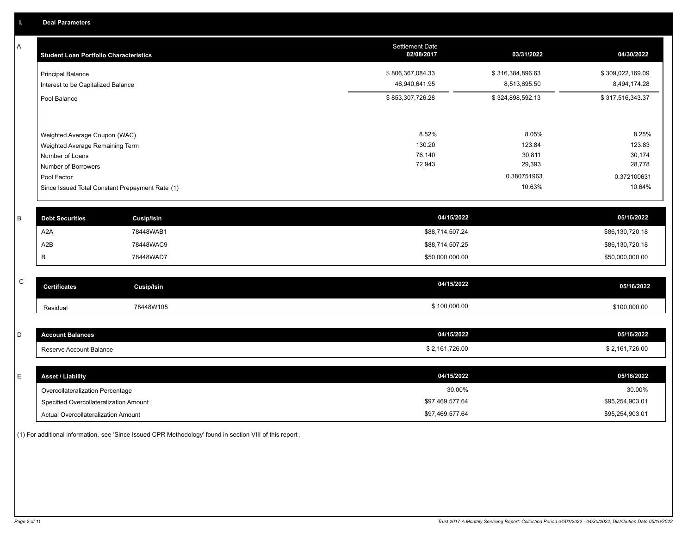A

| Α         | <b>Student Loan Portfolio Characteristics</b>   | <b>Settlement Date</b><br>02/08/2017 | 03/31/2022       | 04/30/2022       |
|-----------|-------------------------------------------------|--------------------------------------|------------------|------------------|
|           | <b>Principal Balance</b>                        | \$806,367,084.33                     | \$316,384,896.63 | \$309,022,169.09 |
|           | Interest to be Capitalized Balance              | 46,940,641.95                        | 8,513,695.50     | 8,494,174.28     |
|           | Pool Balance                                    | \$853,307,726.28                     | \$324,898,592.13 | \$317,516,343.37 |
|           |                                                 |                                      |                  |                  |
|           | Weighted Average Coupon (WAC)                   | 8.52%                                | 8.05%            | 8.25%            |
|           | Weighted Average Remaining Term                 | 130.20                               | 123.84           | 123.83           |
|           | Number of Loans                                 | 76,140<br>72,943                     | 30,811<br>29,393 | 30,174<br>28,778 |
|           | <b>Number of Borrowers</b><br>Pool Factor       |                                      | 0.380751963      | 0.372100631      |
|           | Since Issued Total Constant Prepayment Rate (1) |                                      | 10.63%           | 10.64%           |
| В         | <b>Debt Securities</b><br><b>Cusip/Isin</b>     | 04/15/2022                           |                  | 05/16/2022       |
|           | A <sub>2</sub> A<br>78448WAB1                   | \$88,714,507.24                      |                  | \$86,130,720.18  |
|           | A2B<br>78448WAC9                                | \$88,714,507.25                      |                  | \$86,130,720.18  |
|           | B<br>78448WAD7                                  | \$50,000,000.00                      |                  | \$50,000,000.00  |
| ${\bf C}$ |                                                 | 04/15/2022                           |                  |                  |
|           | <b>Certificates</b><br><b>Cusip/Isin</b>        |                                      |                  | 05/16/2022       |
|           | 78448W105<br>Residual                           | \$100,000.00                         |                  | \$100,000.00     |
| D         | <b>Account Balances</b>                         | 04/15/2022                           |                  | 05/16/2022       |
|           |                                                 |                                      |                  |                  |
|           | Reserve Account Balance                         | \$2,161,726.00                       |                  | \$2,161,726.00   |
| E         | <b>Asset / Liability</b>                        | 04/15/2022                           |                  | 05/16/2022       |
|           | Overcollateralization Percentage                | 30.00%                               |                  | 30.00%           |
|           | Specified Overcollateralization Amount          | \$97,469,577.64                      |                  | \$95,254,903.01  |
|           | Actual Overcollateralization Amount             | \$97,469,577.64                      |                  | \$95,254,903.01  |

(1) For additional information, see 'Since Issued CPR Methodology' found in section VIII of this report .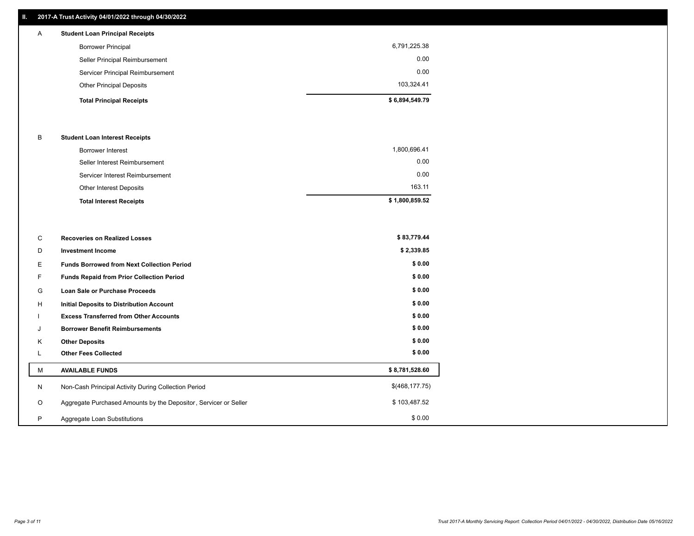## **II. 2017-A Trust Activity 04/01/2022 through 04/30/2022**

| $\mathsf{A}$ | <b>Student Loan Principal Receipts</b> |                |
|--------------|----------------------------------------|----------------|
|              | <b>Borrower Principal</b>              | 6,791,225.38   |
|              | Seller Principal Reimbursement         | 0.00           |
|              | Servicer Principal Reimbursement       | 0.00           |
|              | <b>Other Principal Deposits</b>        | 103,324.41     |
|              | <b>Total Principal Receipts</b>        | \$6,894,549.79 |

### B **Student Loan Interest Receipts**

| <b>Total Interest Receipts</b>  | \$1,800,859.52 |
|---------------------------------|----------------|
| Other Interest Deposits         | 163.11         |
| Servicer Interest Reimbursement | 0.00           |
| Seller Interest Reimbursement   | 0.00           |
| Borrower Interest               | 1,800,696.41   |

| C       | <b>Recoveries on Realized Losses</b>                             | \$83,779.44     |
|---------|------------------------------------------------------------------|-----------------|
| D       | <b>Investment Income</b>                                         | \$2,339.85      |
| Е       | <b>Funds Borrowed from Next Collection Period</b>                | \$0.00          |
| F.      | <b>Funds Repaid from Prior Collection Period</b>                 | \$0.00          |
| G       | Loan Sale or Purchase Proceeds                                   | \$0.00          |
| H       | <b>Initial Deposits to Distribution Account</b>                  | \$0.00          |
|         | <b>Excess Transferred from Other Accounts</b>                    | \$0.00          |
| J       | <b>Borrower Benefit Reimbursements</b>                           | \$0.00          |
| K       | <b>Other Deposits</b>                                            | \$0.00          |
| L       | <b>Other Fees Collected</b>                                      | \$0.00          |
| М       | <b>AVAILABLE FUNDS</b>                                           | \$8,781,528.60  |
| N       | Non-Cash Principal Activity During Collection Period             | \$(468, 177.75) |
| $\circ$ | Aggregate Purchased Amounts by the Depositor, Servicer or Seller | \$103,487.52    |
| P       | Aggregate Loan Substitutions                                     | \$0.00          |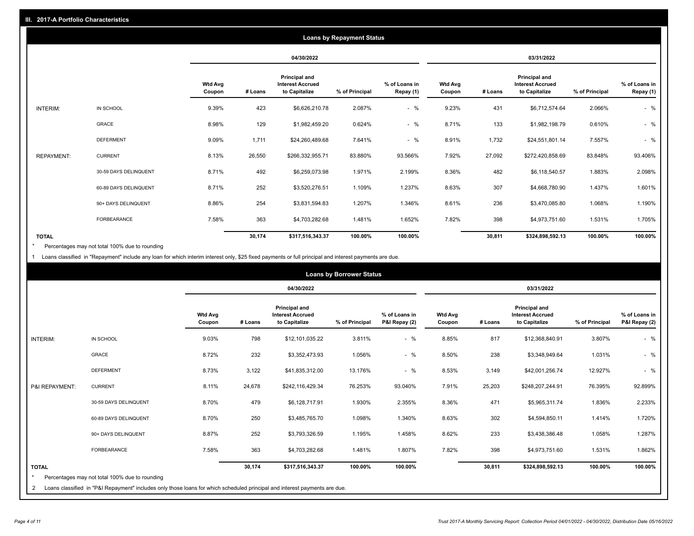| <b>Loans by Repayment Status</b> |                       |                          |            |                                                                  |                |                            |                          |         |                                                           |                |                            |
|----------------------------------|-----------------------|--------------------------|------------|------------------------------------------------------------------|----------------|----------------------------|--------------------------|---------|-----------------------------------------------------------|----------------|----------------------------|
|                                  |                       |                          | 04/30/2022 |                                                                  |                | 03/31/2022                 |                          |         |                                                           |                |                            |
|                                  |                       | <b>Wtd Avg</b><br>Coupon | # Loans    | <b>Principal and</b><br><b>Interest Accrued</b><br>to Capitalize | % of Principal | % of Loans in<br>Repay (1) | <b>Wtd Avg</b><br>Coupon | # Loans | Principal and<br><b>Interest Accrued</b><br>to Capitalize | % of Principal | % of Loans in<br>Repay (1) |
| INTERIM:                         | IN SCHOOL             | 9.39%                    | 423        | \$6,626,210.78                                                   | 2.087%         | $-$ %                      | 9.23%                    | 431     | \$6,712,574.64                                            | 2.066%         | $-$ %                      |
|                                  | GRACE                 | 8.98%                    | 129        | \$1,982,459.20                                                   | 0.624%         | $-$ %                      | 8.71%                    | 133     | \$1,982,198.79                                            | 0.610%         | $-$ %                      |
|                                  | <b>DEFERMENT</b>      | 9.09%                    | 1,711      | \$24,260,489.68                                                  | 7.641%         | $-$ %                      | 8.91%                    | 1,732   | \$24,551,801.14                                           | 7.557%         | $-$ %                      |
| <b>REPAYMENT:</b>                | <b>CURRENT</b>        | 8.13%                    | 26,550     | \$266,332,955.71                                                 | 83.880%        | 93.566%                    | 7.92%                    | 27,092  | \$272,420,858.69                                          | 83.848%        | 93.406%                    |
|                                  | 30-59 DAYS DELINQUENT | 8.71%                    | 492        | \$6,259,073.98                                                   | 1.971%         | 2.199%                     | 8.36%                    | 482     | \$6,118,540.57                                            | 1.883%         | 2.098%                     |
|                                  | 60-89 DAYS DELINQUENT | 8.71%                    | 252        | \$3,520,276.51                                                   | 1.109%         | 1.237%                     | 8.63%                    | 307     | \$4,668,780.90                                            | 1.437%         | 1.601%                     |
|                                  | 90+ DAYS DELINQUENT   | 8.86%                    | 254        | \$3,831,594.83                                                   | 1.207%         | 1.346%                     | 8.61%                    | 236     | \$3,470,085.80                                            | 1.068%         | 1.190%                     |
|                                  | <b>FORBEARANCE</b>    | 7.58%                    | 363        | \$4,703,282.68                                                   | 1.481%         | 1.652%                     | 7.82%                    | 398     | \$4,973,751.60                                            | 1.531%         | 1.705%                     |
| <b>TOTAL</b>                     |                       |                          | 30,174     | \$317,516,343.37                                                 | 100.00%        | 100.00%                    |                          | 30,811  | \$324,898,592.13                                          | 100.00%        | 100.00%                    |

Percentages may not total 100% due to rounding \*

1 Loans classified in "Repayment" include any loan for which interim interest only, \$25 fixed payments or full principal and interest payments are due.

|                         |                                                                                                                            |                          | <b>Loans by Borrower Status</b> |                                                           |                |                                |                          |         |                                                           |                |                                |
|-------------------------|----------------------------------------------------------------------------------------------------------------------------|--------------------------|---------------------------------|-----------------------------------------------------------|----------------|--------------------------------|--------------------------|---------|-----------------------------------------------------------|----------------|--------------------------------|
|                         |                                                                                                                            |                          |                                 | 04/30/2022                                                |                |                                | 03/31/2022               |         |                                                           |                |                                |
|                         |                                                                                                                            | <b>Wtd Avg</b><br>Coupon | # Loans                         | Principal and<br><b>Interest Accrued</b><br>to Capitalize | % of Principal | % of Loans in<br>P&I Repay (2) | <b>Wtd Avg</b><br>Coupon | # Loans | Principal and<br><b>Interest Accrued</b><br>to Capitalize | % of Principal | % of Loans in<br>P&I Repay (2) |
| <b>INTERIM:</b>         | IN SCHOOL                                                                                                                  | 9.03%                    | 798                             | \$12,101,035.22                                           | 3.811%         | $-$ %                          | 8.85%                    | 817     | \$12,368,840.91                                           | 3.807%         | $-$ %                          |
|                         | <b>GRACE</b>                                                                                                               | 8.72%                    | 232                             | \$3,352,473.93                                            | 1.056%         | $-$ %                          | 8.50%                    | 238     | \$3,348,949.64                                            | 1.031%         | $-$ %                          |
|                         | <b>DEFERMENT</b>                                                                                                           | 8.73%                    | 3,122                           | \$41,835,312.00                                           | 13.176%        | $-$ %                          | 8.53%                    | 3,149   | \$42,001,256.74                                           | 12.927%        | $-$ %                          |
| P&I REPAYMENT:          | <b>CURRENT</b>                                                                                                             | 8.11%                    | 24,678                          | \$242,116,429.34                                          | 76.253%        | 93.040%                        | 7.91%                    | 25,203  | \$248,207,244.91                                          | 76.395%        | 92.899%                        |
|                         | 30-59 DAYS DELINQUENT                                                                                                      | 8.70%                    | 479                             | \$6,128,717.91                                            | 1.930%         | 2.355%                         | 8.36%                    | 471     | \$5,965,311.74                                            | 1.836%         | 2.233%                         |
|                         | 60-89 DAYS DELINQUENT                                                                                                      | 8.70%                    | 250                             | \$3,485,765.70                                            | 1.098%         | 1.340%                         | 8.63%                    | 302     | \$4,594,850.11                                            | 1.414%         | 1.720%                         |
|                         | 90+ DAYS DELINQUENT                                                                                                        | 8.87%                    | 252                             | \$3,793,326.59                                            | 1.195%         | 1.458%                         | 8.62%                    | 233     | \$3,438,386.48                                            | 1.058%         | 1.287%                         |
|                         | FORBEARANCE                                                                                                                | 7.58%                    | 363                             | \$4,703,282.68                                            | 1.481%         | 1.807%                         | 7.82%                    | 398     | \$4,973,751.60                                            | 1.531%         | 1.862%                         |
| <b>TOTAL</b><br>$\star$ | Percentages may not total 100% due to rounding                                                                             |                          | 30,174                          | \$317,516,343.37                                          | 100.00%        | 100.00%                        |                          | 30,811  | \$324,898,592.13                                          | 100.00%        | 100.00%                        |
| 2                       | Loans classified in "P&I Repayment" includes only those loans for which scheduled principal and interest payments are due. |                          |                                 |                                                           |                |                                |                          |         |                                                           |                |                                |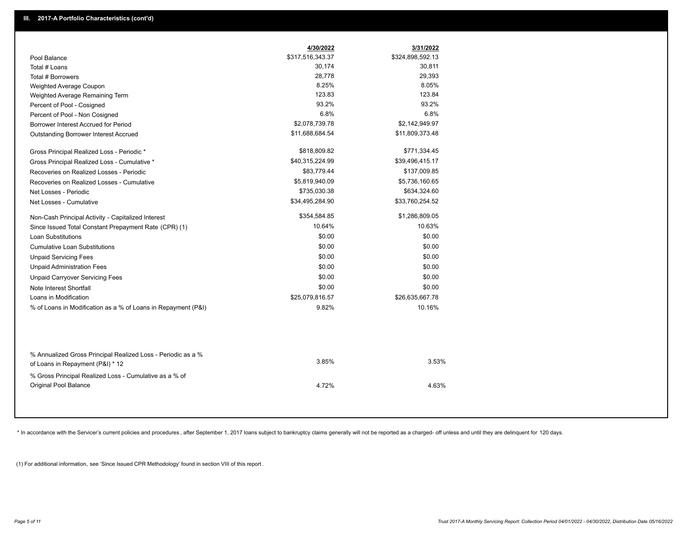|                                                                                                  | 4/30/2022        | 3/31/2022        |
|--------------------------------------------------------------------------------------------------|------------------|------------------|
| Pool Balance                                                                                     | \$317,516,343.37 | \$324,898,592.13 |
| Total # Loans                                                                                    | 30,174           | 30,811           |
| Total # Borrowers                                                                                | 28,778           | 29,393           |
| Weighted Average Coupon                                                                          | 8.25%            | 8.05%            |
| Weighted Average Remaining Term                                                                  | 123.83           | 123.84           |
| Percent of Pool - Cosigned                                                                       | 93.2%            | 93.2%            |
| Percent of Pool - Non Cosigned                                                                   | 6.8%             | 6.8%             |
| Borrower Interest Accrued for Period                                                             | \$2,078,739.78   | \$2,142,949.97   |
| Outstanding Borrower Interest Accrued                                                            | \$11,688,684.54  | \$11,809,373.48  |
| Gross Principal Realized Loss - Periodic *                                                       | \$818,809.82     | \$771,334.45     |
| Gross Principal Realized Loss - Cumulative *                                                     | \$40,315,224.99  | \$39,496,415.17  |
| Recoveries on Realized Losses - Periodic                                                         | \$83,779.44      | \$137,009.85     |
| Recoveries on Realized Losses - Cumulative                                                       | \$5,819,940.09   | \$5,736,160.65   |
| Net Losses - Periodic                                                                            | \$735,030.38     | \$634,324.60     |
| Net Losses - Cumulative                                                                          | \$34,495,284.90  | \$33,760,254.52  |
| Non-Cash Principal Activity - Capitalized Interest                                               | \$354,584.85     | \$1,286,809.05   |
| Since Issued Total Constant Prepayment Rate (CPR) (1)                                            | 10.64%           | 10.63%           |
| <b>Loan Substitutions</b>                                                                        | \$0.00           | \$0.00           |
| <b>Cumulative Loan Substitutions</b>                                                             | \$0.00           | \$0.00           |
| <b>Unpaid Servicing Fees</b>                                                                     | \$0.00           | \$0.00           |
| <b>Unpaid Administration Fees</b>                                                                | \$0.00           | \$0.00           |
| <b>Unpaid Carryover Servicing Fees</b>                                                           | \$0.00           | \$0.00           |
| Note Interest Shortfall                                                                          | \$0.00           | \$0.00           |
| Loans in Modification                                                                            | \$25,079,816.57  | \$26,635,667.78  |
| % of Loans in Modification as a % of Loans in Repayment (P&I)                                    | 9.82%            | 10.16%           |
|                                                                                                  |                  |                  |
| % Annualized Gross Principal Realized Loss - Periodic as a %<br>of Loans in Repayment (P&I) * 12 | 3.85%            | 3.53%            |
| % Gross Principal Realized Loss - Cumulative as a % of                                           |                  |                  |
| Original Pool Balance                                                                            | 4.72%            | 4.63%            |

\* In accordance with the Servicer's current policies and procedures, after September 1, 2017 loans subject to bankruptcy claims generally will not be reported as a charged- off unless and until they are delinquent for 120

(1) For additional information, see 'Since Issued CPR Methodology' found in section VIII of this report .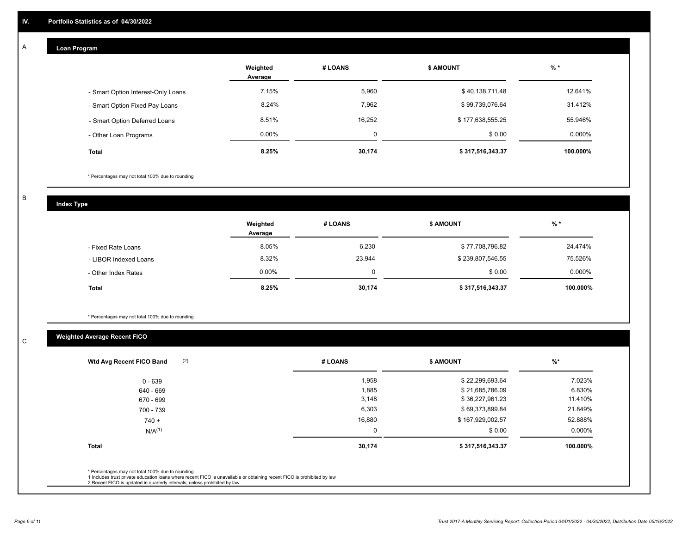## **Loan Program**

A

|                                    | Weighted<br>Average | # LOANS | <b>\$ AMOUNT</b> | $%$ *    |
|------------------------------------|---------------------|---------|------------------|----------|
| - Smart Option Interest-Only Loans | 7.15%               | 5,960   | \$40,138,711.48  | 12.641%  |
| - Smart Option Fixed Pay Loans     | 8.24%               | 7,962   | \$99,739,076.64  | 31.412%  |
| - Smart Option Deferred Loans      | 8.51%               | 16,252  | \$177,638,555.25 | 55.946%  |
| - Other Loan Programs              | $0.00\%$            | 0       | \$0.00           | 0.000%   |
| <b>Total</b>                       | 8.25%               | 30,174  | \$317,516,343.37 | 100.000% |

\* Percentages may not total 100% due to rounding

B

C

**Index Type**

|                       | Weighted<br>Average | # LOANS | <b>\$ AMOUNT</b> | % *      |
|-----------------------|---------------------|---------|------------------|----------|
| - Fixed Rate Loans    | 8.05%               | 6,230   | \$77,708,796.82  | 24.474%  |
| - LIBOR Indexed Loans | 8.32%               | 23,944  | \$239,807,546.55 | 75.526%  |
| - Other Index Rates   | $0.00\%$            | 0       | \$0.00           | 0.000%   |
| <b>Total</b>          | 8.25%               | 30,174  | \$317,516,343.37 | 100.000% |

\* Percentages may not total 100% due to rounding

# **Weighted Average Recent FICO**

| 1,958<br>1,885<br>3,148<br>6,303 | \$22,299,693.64<br>\$21,685,786.09<br>\$36,227,961.23 | 7.023%<br>6.830%<br>11.410% |
|----------------------------------|-------------------------------------------------------|-----------------------------|
|                                  |                                                       |                             |
|                                  |                                                       |                             |
|                                  |                                                       |                             |
|                                  | \$69,373,899.84                                       | 21.849%                     |
| 16,880                           | \$167,929,002.57                                      | 52.888%                     |
| 0                                | \$0.00                                                | 0.000%                      |
| 30,174                           | \$317,516,343.37                                      | 100.000%                    |
|                                  |                                                       |                             |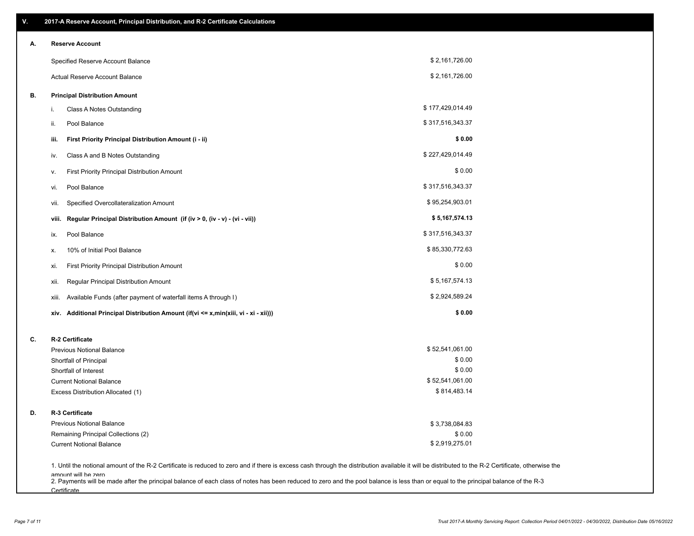| V. | 2017-A Reserve Account, Principal Distribution, and R-2 Certificate Calculations                                                                                                                                          |                  |  |
|----|---------------------------------------------------------------------------------------------------------------------------------------------------------------------------------------------------------------------------|------------------|--|
| А. | <b>Reserve Account</b>                                                                                                                                                                                                    |                  |  |
|    | Specified Reserve Account Balance                                                                                                                                                                                         | \$2,161,726.00   |  |
|    | Actual Reserve Account Balance                                                                                                                                                                                            | \$2,161,726.00   |  |
| В. | <b>Principal Distribution Amount</b>                                                                                                                                                                                      |                  |  |
|    | <b>Class A Notes Outstanding</b><br>i.                                                                                                                                                                                    | \$177,429,014.49 |  |
|    | Pool Balance<br>ii.                                                                                                                                                                                                       | \$317,516,343.37 |  |
|    | First Priority Principal Distribution Amount (i - ii)<br>iii.                                                                                                                                                             | \$0.00           |  |
|    | Class A and B Notes Outstanding<br>iv.                                                                                                                                                                                    | \$227,429,014.49 |  |
|    | First Priority Principal Distribution Amount<br>۷.                                                                                                                                                                        | \$0.00           |  |
|    | Pool Balance<br>vi.                                                                                                                                                                                                       | \$317,516,343.37 |  |
|    | Specified Overcollateralization Amount<br>vii.                                                                                                                                                                            | \$95,254,903.01  |  |
|    | Regular Principal Distribution Amount (if (iv > 0, (iv - v) - (vi - vii))<br>viii.                                                                                                                                        | \$5,167,574.13   |  |
|    | Pool Balance<br>ix.                                                                                                                                                                                                       | \$317,516,343.37 |  |
|    | 10% of Initial Pool Balance<br>х.                                                                                                                                                                                         | \$85,330,772.63  |  |
|    | First Priority Principal Distribution Amount<br>xi.                                                                                                                                                                       | \$0.00           |  |
|    | Regular Principal Distribution Amount<br>xii.                                                                                                                                                                             | \$5,167,574.13   |  |
|    | Available Funds (after payment of waterfall items A through I)<br>xiii.                                                                                                                                                   | \$2,924,589.24   |  |
|    | xiv. Additional Principal Distribution Amount (if(vi <= x,min(xiii, vi - xi - xii)))                                                                                                                                      | \$0.00           |  |
| C. | R-2 Certificate                                                                                                                                                                                                           |                  |  |
|    | <b>Previous Notional Balance</b>                                                                                                                                                                                          | \$52,541,061.00  |  |
|    | Shortfall of Principal                                                                                                                                                                                                    | \$0.00           |  |
|    | Shortfall of Interest                                                                                                                                                                                                     | \$0.00           |  |
|    | <b>Current Notional Balance</b>                                                                                                                                                                                           | \$52,541,061.00  |  |
|    | Excess Distribution Allocated (1)                                                                                                                                                                                         | \$814,483.14     |  |
| D. | R-3 Certificate                                                                                                                                                                                                           |                  |  |
|    | <b>Previous Notional Balance</b>                                                                                                                                                                                          | \$3,738,084.83   |  |
|    | Remaining Principal Collections (2)                                                                                                                                                                                       | \$0.00           |  |
|    | <b>Current Notional Balance</b>                                                                                                                                                                                           | \$2,919,275.01   |  |
|    | 1. Until the notional amount of the R-2 Certificate is reduced to zero and if there is excess cash through the distribution available it will be distributed to the R-2 Certificate, otherwise the<br>amount will be zero |                  |  |

amount will be zero<br>2. Payments will be made after the principal balance of each class of notes has been reduced to zero and the pool balance is less than or equal to the principal balance of the R-3 **Certificate**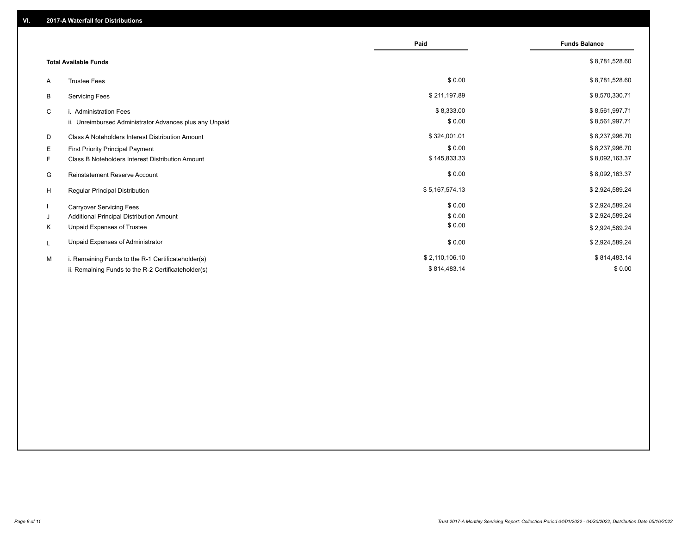|                                                         | Paid           | <b>Funds Balance</b> |
|---------------------------------------------------------|----------------|----------------------|
| <b>Total Available Funds</b>                            |                | \$8,781,528.60       |
| <b>Trustee Fees</b><br>A                                | \$0.00         | \$8,781,528.60       |
| <b>Servicing Fees</b><br>В                              | \$211,197.89   | \$8,570,330.71       |
| C<br>i. Administration Fees                             | \$8,333.00     | \$8,561,997.71       |
| ii. Unreimbursed Administrator Advances plus any Unpaid | \$0.00         | \$8,561,997.71       |
| Class A Noteholders Interest Distribution Amount<br>D   | \$324,001.01   | \$8,237,996.70       |
| Е<br>First Priority Principal Payment                   | \$0.00         | \$8,237,996.70       |
| Class B Noteholders Interest Distribution Amount<br>F.  | \$145,833.33   | \$8,092,163.37       |
| <b>Reinstatement Reserve Account</b><br>G               | \$0.00         | \$8,092,163.37       |
| H<br>Regular Principal Distribution                     | \$5,167,574.13 | \$2,924,589.24       |
| <b>Carryover Servicing Fees</b>                         | \$0.00         | \$2,924,589.24       |
| Additional Principal Distribution Amount<br>J           | \$0.00         | \$2,924,589.24       |
| Unpaid Expenses of Trustee<br>Κ                         | \$0.00         | \$2,924,589.24       |
| Unpaid Expenses of Administrator<br>L                   | \$0.00         | \$2,924,589.24       |
| i. Remaining Funds to the R-1 Certificateholder(s)<br>м | \$2,110,106.10 | \$814,483.14         |
| ii. Remaining Funds to the R-2 Certificateholder(s)     | \$814,483.14   | \$0.00               |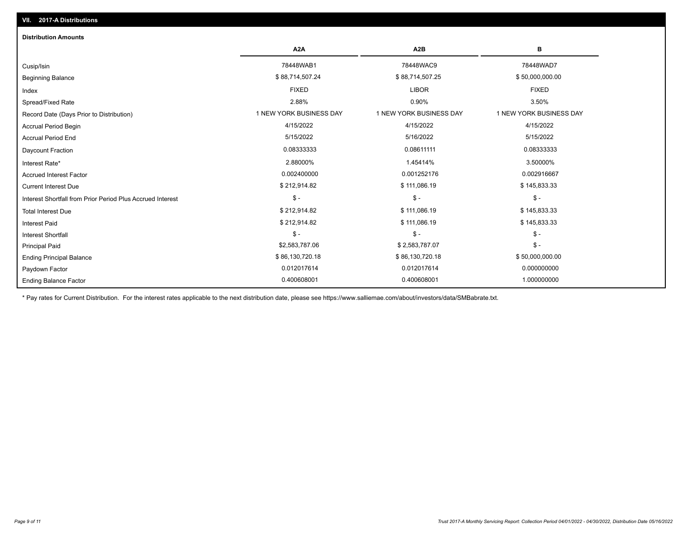| <b>Distribution Amounts</b>                                |                         |                         |                         |
|------------------------------------------------------------|-------------------------|-------------------------|-------------------------|
|                                                            | A <sub>2</sub> A        | A <sub>2</sub> B        | в                       |
| Cusip/Isin                                                 | 78448WAB1               | 78448WAC9               | 78448WAD7               |
| <b>Beginning Balance</b>                                   | \$88,714,507.24         | \$88,714,507.25         | \$50,000,000.00         |
| Index                                                      | <b>FIXED</b>            | <b>LIBOR</b>            | <b>FIXED</b>            |
| Spread/Fixed Rate                                          | 2.88%                   | 0.90%                   | 3.50%                   |
| Record Date (Days Prior to Distribution)                   | 1 NEW YORK BUSINESS DAY | 1 NEW YORK BUSINESS DAY | 1 NEW YORK BUSINESS DAY |
| <b>Accrual Period Begin</b>                                | 4/15/2022               | 4/15/2022               | 4/15/2022               |
| <b>Accrual Period End</b>                                  | 5/15/2022               | 5/16/2022               | 5/15/2022               |
| <b>Daycount Fraction</b>                                   | 0.08333333              | 0.08611111              | 0.08333333              |
| Interest Rate*                                             | 2.88000%                | 1.45414%                | 3.50000%                |
| <b>Accrued Interest Factor</b>                             | 0.002400000             | 0.001252176             | 0.002916667             |
| <b>Current Interest Due</b>                                | \$212,914.82            | \$111,086.19            | \$145,833.33            |
| Interest Shortfall from Prior Period Plus Accrued Interest | $\mathsf{\$}$ -         | $$ -$                   | $\mathsf{\$}$ -         |
| <b>Total Interest Due</b>                                  | \$212,914.82            | \$111,086.19            | \$145,833.33            |
| <b>Interest Paid</b>                                       | \$212,914.82            | \$111,086.19            | \$145,833.33            |
| Interest Shortfall                                         | $\mathcal{S}$ -         | $$ -$                   | $$ -$                   |
| <b>Principal Paid</b>                                      | \$2,583,787.06          | \$2,583,787.07          | $$ -$                   |
| <b>Ending Principal Balance</b>                            | \$86,130,720.18         | \$86,130,720.18         | \$50,000,000.00         |
| Paydown Factor                                             | 0.012017614             | 0.012017614             | 0.000000000             |
| <b>Ending Balance Factor</b>                               | 0.400608001             | 0.400608001             | 1.000000000             |

\* Pay rates for Current Distribution. For the interest rates applicable to the next distribution date, please see https://www.salliemae.com/about/investors/data/SMBabrate.txt.

**VII. 2017-A Distributions**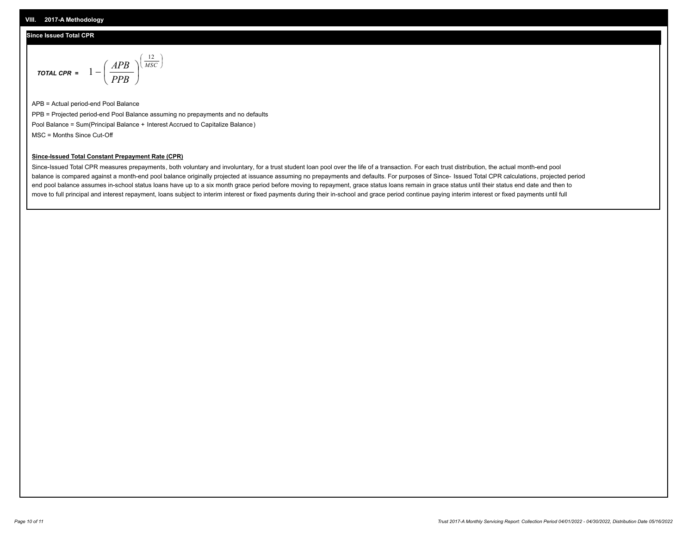#### **Since Issued Total CPR**

$$
\text{total cPR} = 1 - \left(\frac{APB}{PPB}\right)^{\left(\frac{12}{MSC}\right)}
$$

APB = Actual period-end Pool Balance PPB = Projected period-end Pool Balance assuming no prepayments and no defaults Pool Balance = Sum(Principal Balance + Interest Accrued to Capitalize Balance) MSC = Months Since Cut-Off

I J Ι

#### **Since-Issued Total Constant Prepayment Rate (CPR)**

Since-Issued Total CPR measures prepayments, both voluntary and involuntary, for a trust student loan pool over the life of a transaction. For each trust distribution, the actual month-end pool balance is compared against a month-end pool balance originally projected at issuance assuming no prepayments and defaults. For purposes of Since- Issued Total CPR calculations, projected period end pool balance assumes in-school status loans have up to a six month grace period before moving to repayment, grace status loans remain in grace status until their status end date and then to move to full principal and interest repayment, loans subject to interim interest or fixed payments during their in-school and grace period continue paying interim interest or fixed payments until full